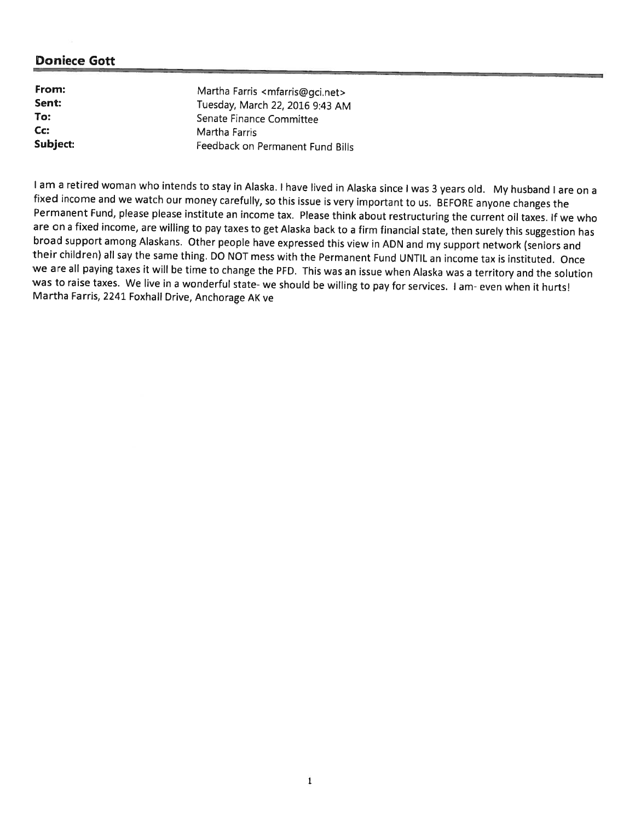| From:    | Martha Farris <mfarris@gci.net></mfarris@gci.net> |
|----------|---------------------------------------------------|
| Sent:    | Tuesday, March 22, 2016 9:43 AM                   |
| To:      | Senate Finance Committee                          |
| $Cc$ :   | Martha Farris                                     |
| Subject: | Feedback on Permanent Fund Bills                  |

I am a retired woman who intends to stay in Alaska. I have lived in Alaska since I was 3 years old. My husband I are on a fixed income and we watch our money carefully, so this issue is very important to us. BEFORE anyone broad support among Alaskans. Other people have expressed this view in ADN and my support network (seniors and<br>their children) all say the same thing. DO NOT mess with the Permanent Fund UNTIL an income tax is instituted. we are all paying taxes it will be time to change the PFD. This was an issue when Alaska was <sup>a</sup> territory and the solution was to raise taxes. We live in a wonderful state- we should be willing to pay for services. I am-even when it hurts! Martha Farris, 2241 Foxhall Drive, Anchorage AK ve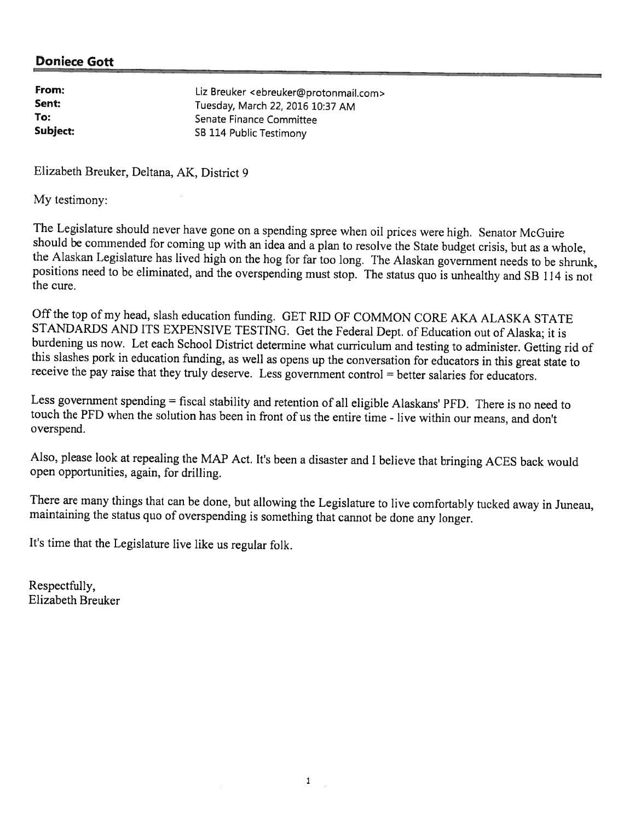| From:    | Liz Breuker <ebreuker@protonmail.com></ebreuker@protonmail.com> |
|----------|-----------------------------------------------------------------|
| Sent:    | Tuesday, March 22, 2016 10:37 AM                                |
| To:      | Senate Finance Committee                                        |
| Subject: | SB 114 Public Testimony                                         |

Elizabeth Breuker, Deltana, AK, District 9

My testimony:

The Legislature should never have gone on a spending spree when oil prices were high. Senator McGuire<br>should be commended for coming up with an idea and a plan to resolve the State budget crisis, but as a whole,<br>the Alaska positions need to be eliminated, and the overspending must stop. The status quo is unhealthy and SB 114 is not the cure.

Off the top of my head, slash education funding. GET RID OF COMMON CORE AKA ALASKA STATE<br>STANDARDS AND ITS EXPENSIVE TESTING. Get the Federal Dept. of Education out of Alaska; it is burdening us now. Let each School District determine what curriculum and testing to administer. Getting rid of<br>this slashes pork in education funding, as well as opens up the conversation for educators in this great state

Less government spending = fiscal stability and retention of all eligible Alaskans' PFD. There is no need to touch the PFD when the solution has been in front of us the entire time - live within our means, and don't oversp

Also, <sup>p</sup>lease look at repealing the MAP Act. It's been <sup>a</sup> disaster and <sup>I</sup> believe that bringing ACES back would open opportunities, again, for drilling.

There are many things that can be done, but allowing the Legislature to live comfortably tucked away in Juneau, maintaining the status quo of overspending is something that cannot be done any longer.

It's time that the Legislature live like us regular folk.

Respectfully, Elizabeth Breuker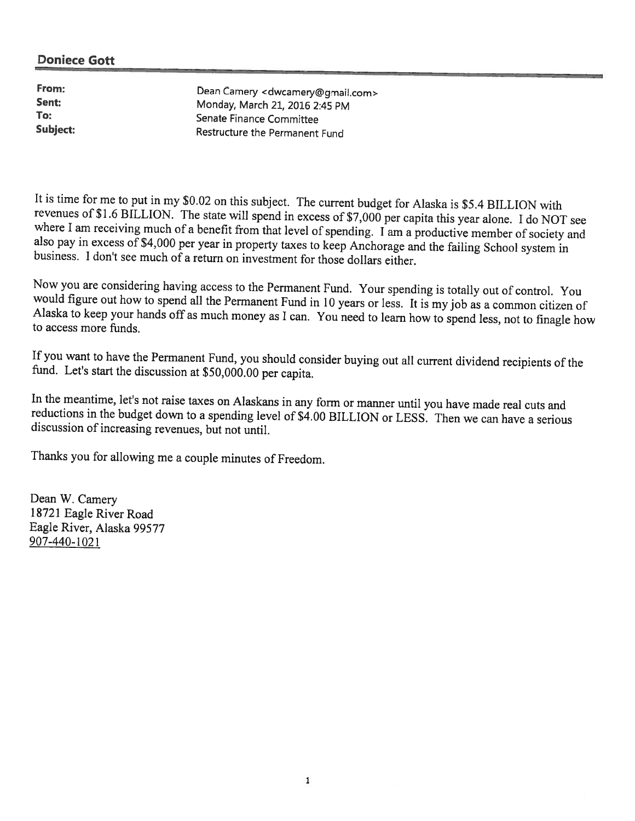From: Dean Camery <dwcamery@gmail.com><br>Sent: Monday March 21, 2016 2:45 PM Sent: Monday, March 21, 2016 2:45 PM<br>
Senate Finance Committee Senate Finance Committee Subject: Restructure the Permanent Fund

It is time for me to put in my \$0.02 on this subject. The current budget for Alaska is \$5.4 BILLION with revenues of \$1.6 BILLION. The state will spend in excess of \$7,000 per capita this year alone. I do NOT see where I am receiving much of a benefit from that level of spending. I am a productive member of society and also pay in excess of \$4,000 per year in property taxes to keep Anchorage and the failing School system in busines

Now you are considering having access to the Permanent Fund. Your spending is totally out of control. You would figure out how to spend all the Permanent Fund in 10 years or less. It is my job as a common citizen of Alaska

If you want to have the Permanent Fund, you should consider buying out all current dividend recipients of the fund. Let's start the discussion at \$50,000.00 per capita.

In the meantime, let's not raise taxes on Alaskans in any form or manner until you have made real cuts and reductions in the budget down to a spending level of \$4.00 BILLION or LESS. Then we can have a serious discussion o

Thanks you for allowing me <sup>a</sup> couple minutes of Freedom.

Dean W. Camery 18721 Eagle River Road Eagle River, Alaska 99577 907-440-1021